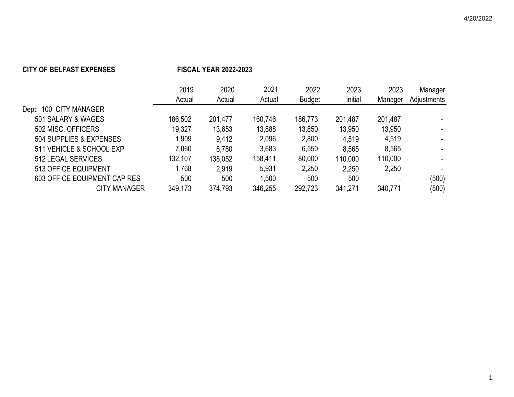## **CITY OF BELFAST EXPENSES FISCAL YEAR 2022-2023**

|                              | 2019    | 2020    | 2021    | 2022          | 2023    | 2023    | Manager     |
|------------------------------|---------|---------|---------|---------------|---------|---------|-------------|
|                              | Actual  | Actual  | Actual  | <b>Budget</b> | Initial | Manager | Adjustments |
| Dept: 100 CITY MANAGER       |         |         |         |               |         |         |             |
| 501 SALARY & WAGES           | 186,502 | 201,477 | 160,746 | 186,773       | 201,487 | 201,487 |             |
| 502 MISC, OFFICERS           | 19,327  | 13.653  | 13,888  | 13,850        | 13,950  | 13,950  |             |
| 504 SUPPLIES & EXPENSES      | 1,909   | 9,412   | 2,096   | 2,800         | 4,519   | 4,519   |             |
| 511 VEHICLE & SCHOOL EXP     | 7,060   | 8,780   | 3.683   | 6,550         | 8,565   | 8,565   |             |
| 512 LEGAL SERVICES           | 132,107 | 138,052 | 158,411 | 80,000        | 110,000 | 110,000 |             |
| 513 OFFICE EQUIPMENT         | 1,768   | 2,919   | 5.931   | 2,250         | 2,250   | 2,250   |             |
| 603 OFFICE EQUIPMENT CAP RES | 500     | 500     | 1,500   | 500           | 500     |         | (500)       |
| <b>CITY MANAGER</b>          | 349,173 | 374,793 | 346,255 | 292,723       | 341,271 | 340,771 | (500)       |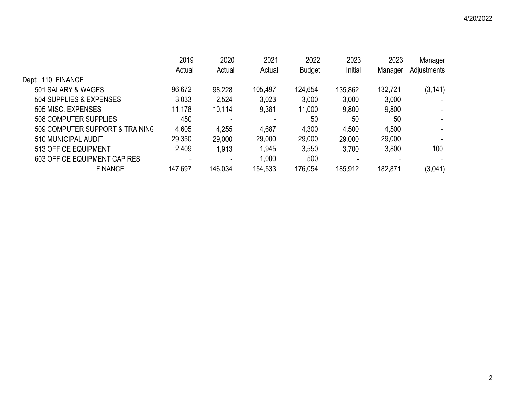|                                 | 2019    | 2020    | 2021    | 2022          | 2023    | 2023    | Manager     |
|---------------------------------|---------|---------|---------|---------------|---------|---------|-------------|
|                                 | Actual  | Actual  | Actual  | <b>Budget</b> | Initial | Manager | Adjustments |
| Dept: 110 FINANCE               |         |         |         |               |         |         |             |
| 501 SALARY & WAGES              | 96,672  | 98,228  | 105,497 | 124,654       | 135,862 | 132,721 | (3, 141)    |
| 504 SUPPLIES & EXPENSES         | 3,033   | 2,524   | 3,023   | 3,000         | 3,000   | 3,000   |             |
| 505 MISC. EXPENSES              | 11,178  | 10,114  | 9,381   | 11,000        | 9,800   | 9,800   |             |
| 508 COMPUTER SUPPLIES           | 450     |         |         | 50            | 50      | 50      |             |
| 509 COMPUTER SUPPORT & TRAINING | 4,605   | 4,255   | 4,687   | 4,300         | 4,500   | 4,500   |             |
| 510 MUNICIPAL AUDIT             | 29,350  | 29,000  | 29,000  | 29,000        | 29,000  | 29,000  |             |
| 513 OFFICE EQUIPMENT            | 2,409   | 1,913   | 1,945   | 3,550         | 3,700   | 3,800   | 100         |
| 603 OFFICE EQUIPMENT CAP RES    |         |         | 1,000   | 500           |         |         |             |
| <b>FINANCE</b>                  | 147,697 | 146,034 | 154,533 | 176,054       | 185,912 | 182,871 | (3,041)     |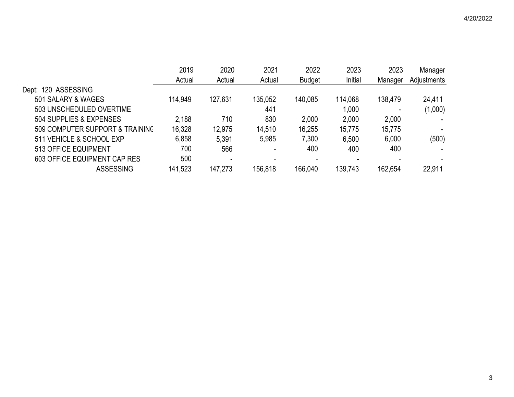|                                 | 2019    | 2020                     | 2021    | 2022          | 2023    | 2023    | Manager                  |
|---------------------------------|---------|--------------------------|---------|---------------|---------|---------|--------------------------|
|                                 | Actual  | Actual                   | Actual  | <b>Budget</b> | Initial | Manager | Adjustments              |
| 120 ASSESSING<br>Dept:          |         |                          |         |               |         |         |                          |
| 501 SALARY & WAGES              | 114,949 | 127,631                  | 135,052 | 140,085       | 114,068 | 138,479 | 24,411                   |
| 503 UNSCHEDULED OVERTIME        |         |                          | 441     |               | 1,000   |         | (1,000)                  |
| 504 SUPPLIES & EXPENSES         | 2,188   | 710                      | 830     | 2,000         | 2,000   | 2,000   | $\overline{\phantom{a}}$ |
| 509 COMPUTER SUPPORT & TRAINING | 16,328  | 12,975                   | 14,510  | 16,255        | 15,775  | 15,775  |                          |
| 511 VEHICLE & SCHOOL EXP        | 6,858   | 5,391                    | 5,985   | 7,300         | 6,500   | 6,000   | (500)                    |
| 513 OFFICE EQUIPMENT            | 700     | 566                      |         | 400           | 400     | 400     | ۰.                       |
| 603 OFFICE EQUIPMENT CAP RES    | 500     | $\overline{\phantom{0}}$ |         |               |         |         |                          |
| <b>ASSESSING</b>                | 141,523 | 147,273                  | 156,818 | 166,040       | 139,743 | 162,654 | 22,911                   |
|                                 |         |                          |         |               |         |         |                          |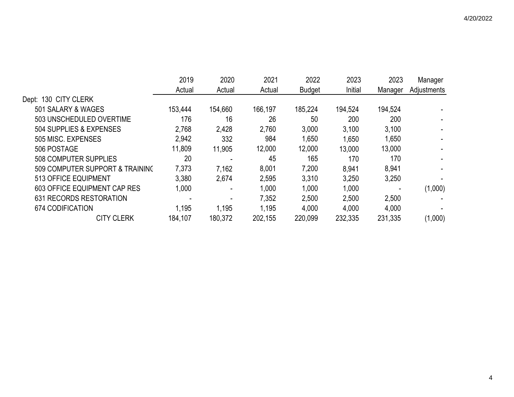|                                 | 2019    | 2020    | 2021    | 2022          | 2023    | 2023    | Manager     |
|---------------------------------|---------|---------|---------|---------------|---------|---------|-------------|
|                                 | Actual  | Actual  | Actual  | <b>Budget</b> | Initial | Manager | Adjustments |
| Dept: 130 CITY CLERK            |         |         |         |               |         |         |             |
| 501 SALARY & WAGES              | 153,444 | 154,660 | 166,197 | 185,224       | 194,524 | 194,524 |             |
| 503 UNSCHEDULED OVERTIME        | 176     | 16      | 26      | 50            | 200     | 200     |             |
| 504 SUPPLIES & EXPENSES         | 2,768   | 2,428   | 2,760   | 3,000         | 3,100   | 3,100   |             |
| 505 MISC, EXPENSES              | 2,942   | 332     | 984     | 1,650         | 1,650   | 1,650   |             |
| 506 POSTAGE                     | 11,809  | 11,905  | 12,000  | 12,000        | 13,000  | 13,000  |             |
| 508 COMPUTER SUPPLIES           | 20      |         | 45      | 165           | 170     | 170     |             |
| 509 COMPUTER SUPPORT & TRAINING | 7,373   | 7,162   | 8,001   | 7,200         | 8,941   | 8,941   |             |
| 513 OFFICE EQUIPMENT            | 3,380   | 2,674   | 2,595   | 3,310         | 3,250   | 3,250   |             |
| 603 OFFICE EQUIPMENT CAP RES    | 1,000   |         | 1,000   | 1,000         | 1,000   |         | (1,000)     |
| 631 RECORDS RESTORATION         |         |         | 7,352   | 2,500         | 2,500   | 2,500   |             |
| 674 CODIFICATION                | 1,195   | 1,195   | 1,195   | 4,000         | 4,000   | 4,000   |             |
| <b>CITY CLERK</b>               | 184,107 | 180,372 | 202,155 | 220,099       | 232,335 | 231,335 | (1,000)     |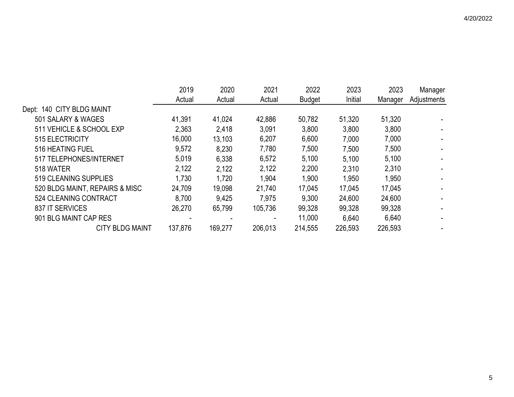|                                | 2019    | 2020    | 2021    | 2022          | 2023    | 2023    | Manager     |
|--------------------------------|---------|---------|---------|---------------|---------|---------|-------------|
|                                | Actual  | Actual  | Actual  | <b>Budget</b> | Initial | Manager | Adjustments |
| Dept: 140 CITY BLDG MAINT      |         |         |         |               |         |         |             |
| 501 SALARY & WAGES             | 41,391  | 41,024  | 42,886  | 50,782        | 51,320  | 51,320  |             |
| 511 VEHICLE & SCHOOL EXP       | 2,363   | 2,418   | 3,091   | 3,800         | 3,800   | 3,800   |             |
| 515 ELECTRICITY                | 16,000  | 13,103  | 6,207   | 6,600         | 7,000   | 7,000   |             |
| 516 HEATING FUEL               | 9,572   | 8,230   | 7,780   | 7,500         | 7,500   | 7,500   |             |
| 517 TELEPHONES/INTERNET        | 5,019   | 6,338   | 6,572   | 5,100         | 5,100   | 5,100   |             |
| 518 WATER                      | 2,122   | 2,122   | 2,122   | 2,200         | 2,310   | 2,310   |             |
| 519 CLEANING SUPPLIES          | 1,730   | 1,720   | 1,904   | 1,900         | 1,950   | 1,950   |             |
| 520 BLDG MAINT, REPAIRS & MISC | 24,709  | 19,098  | 21,740  | 17,045        | 17,045  | 17,045  |             |
| 524 CLEANING CONTRACT          | 8,700   | 9,425   | 7,975   | 9,300         | 24,600  | 24,600  |             |
| 837 IT SERVICES                | 26,270  | 65,799  | 105,736 | 99,328        | 99,328  | 99,328  |             |
| 901 BLG MAINT CAP RES          |         |         |         | 11,000        | 6,640   | 6,640   |             |
| <b>CITY BLDG MAINT</b>         | 137,876 | 169,277 | 206,013 | 214,555       | 226,593 | 226,593 |             |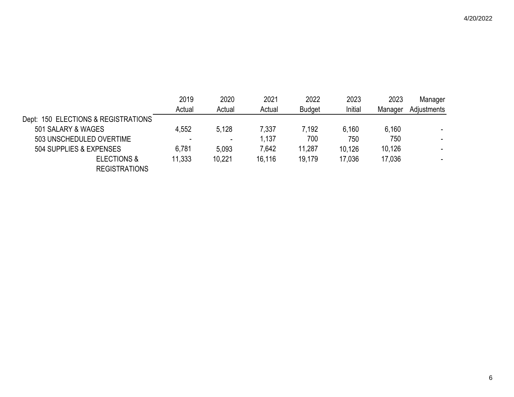|                                     | 2019   | 2020                     | 2021   | 2022          | 2023    | 2023    | Manager     |
|-------------------------------------|--------|--------------------------|--------|---------------|---------|---------|-------------|
|                                     | Actual | Actual                   | Actual | <b>Budget</b> | Initial | Manager | Adjustments |
| Dept: 150 ELECTIONS & REGISTRATIONS |        |                          |        |               |         |         |             |
| 501 SALARY & WAGES                  | 4,552  | 5.128                    | 7,337  | 7.192         | 6,160   | 6,160   |             |
| 503 UNSCHEDULED OVERTIME            |        | $\overline{\phantom{a}}$ | 1,137  | 700           | 750     | 750     |             |
| 504 SUPPLIES & EXPENSES             | 6,781  | 5.093                    | 7,642  | 11,287        | 10,126  | 10,126  |             |
| <b>ELECTIONS &amp;</b>              | 11,333 | 10,221                   | 16,116 | 19.179        | 17,036  | 17,036  |             |
| <b>REGISTRATIONS</b>                |        |                          |        |               |         |         |             |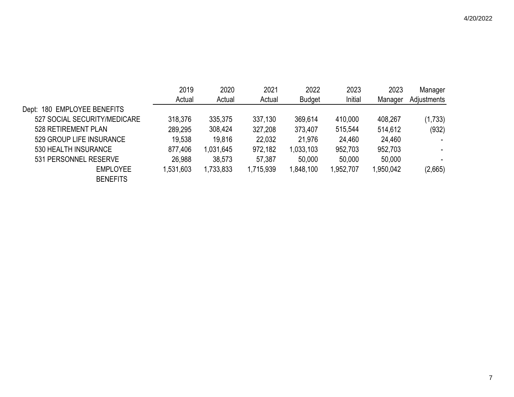|                                | 2019      | 2020      | 2021      | 2022          | 2023      | 2023      | Manager     |
|--------------------------------|-----------|-----------|-----------|---------------|-----------|-----------|-------------|
|                                | Actual    | Actual    | Actual    | <b>Budget</b> | Initial   | Manager   | Adjustments |
| 180 EMPLOYEE BENEFITS<br>Dept: |           |           |           |               |           |           |             |
| 527 SOCIAL SECURITY/MEDICARE   | 318,376   | 335,375   | 337,130   | 369,614       | 410,000   | 408,267   | (1,733)     |
| 528 RETIREMENT PLAN            | 289,295   | 308,424   | 327,208   | 373,407       | 515,544   | 514,612   | (932)       |
| 529 GROUP LIFE INSURANCE       | 19,538    | 19,816    | 22,032    | 21,976        | 24,460    | 24,460    |             |
| 530 HEALTH INSURANCE           | 877,406   | 1,031,645 | 972,182   | 1,033,103     | 952,703   | 952,703   | ۰.          |
| 531 PERSONNEL RESERVE          | 26,988    | 38,573    | 57,387    | 50,000        | 50,000    | 50,000    |             |
| <b>EMPLOYEE</b>                | 1,531,603 | 1,733,833 | 1,715,939 | 1,848,100     | 1,952,707 | 1,950,042 | (2,665)     |
| <b>BENEFITS</b>                |           |           |           |               |           |           |             |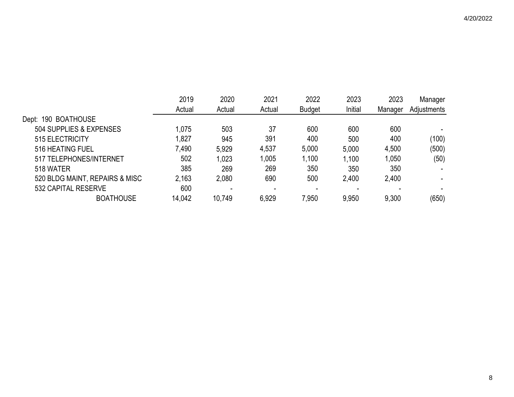|                                | 2019   | 2020   | 2021   | 2022          | 2023    | 2023    | Manager     |
|--------------------------------|--------|--------|--------|---------------|---------|---------|-------------|
|                                | Actual | Actual | Actual | <b>Budget</b> | Initial | Manager | Adjustments |
| Dept: 190 BOATHOUSE            |        |        |        |               |         |         |             |
| 504 SUPPLIES & EXPENSES        | 1,075  | 503    | 37     | 600           | 600     | 600     |             |
| 515 ELECTRICITY                | 1,827  | 945    | 391    | 400           | 500     | 400     | (100)       |
| 516 HEATING FUEL               | 7,490  | 5,929  | 4,537  | 5,000         | 5,000   | 4,500   | (500)       |
| 517 TELEPHONES/INTERNET        | 502    | 1,023  | 1,005  | 1,100         | 1,100   | 1,050   | (50)        |
| 518 WATER                      | 385    | 269    | 269    | 350           | 350     | 350     |             |
| 520 BLDG MAINT, REPAIRS & MISC | 2,163  | 2,080  | 690    | 500           | 2,400   | 2,400   |             |
| 532 CAPITAL RESERVE            | 600    |        | $\,$   |               |         |         |             |
| <b>BOATHOUSE</b>               | 14,042 | 10,749 | 6,929  | 7,950         | 9,950   | 9,300   | (650)       |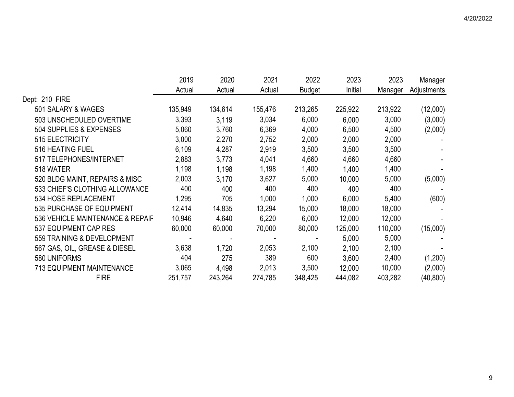|                                  | 2019    | 2020    | 2021    | 2022          | 2023    | 2023    | Manager     |
|----------------------------------|---------|---------|---------|---------------|---------|---------|-------------|
|                                  | Actual  | Actual  | Actual  | <b>Budget</b> | Initial | Manager | Adjustments |
| Dept: 210 FIRE                   |         |         |         |               |         |         |             |
| 501 SALARY & WAGES               | 135,949 | 134,614 | 155,476 | 213,265       | 225,922 | 213,922 | (12,000)    |
| 503 UNSCHEDULED OVERTIME         | 3,393   | 3,119   | 3,034   | 6,000         | 6,000   | 3,000   | (3,000)     |
| 504 SUPPLIES & EXPENSES          | 5,060   | 3,760   | 6,369   | 4,000         | 6,500   | 4,500   | (2,000)     |
| 515 ELECTRICITY                  | 3,000   | 2,270   | 2,752   | 2,000         | 2,000   | 2,000   |             |
| 516 HEATING FUEL                 | 6,109   | 4,287   | 2,919   | 3,500         | 3,500   | 3,500   |             |
| 517 TELEPHONES/INTERNET          | 2,883   | 3.773   | 4,041   | 4,660         | 4,660   | 4,660   |             |
| 518 WATER                        | 1,198   | 1,198   | 1,198   | 1,400         | 1,400   | 1,400   |             |
| 520 BLDG MAINT, REPAIRS & MISC   | 2,003   | 3,170   | 3,627   | 5,000         | 10,000  | 5,000   | (5,000)     |
| 533 CHIEF'S CLOTHING ALLOWANCE   | 400     | 400     | 400     | 400           | 400     | 400     |             |
| 534 HOSE REPLACEMENT             | 1,295   | 705     | 1,000   | 1,000         | 6,000   | 5,400   | (600)       |
| 535 PURCHASE OF EQUIPMENT        | 12,414  | 14,835  | 13,294  | 15,000        | 18,000  | 18,000  |             |
| 536 VEHICLE MAINTENANCE & REPAIF | 10,946  | 4,640   | 6,220   | 6,000         | 12,000  | 12,000  |             |
| 537 EQUIPMENT CAP RES            | 60,000  | 60,000  | 70,000  | 80,000        | 125,000 | 110,000 | (15,000)    |
| 559 TRAINING & DEVELOPMENT       |         |         |         |               | 5,000   | 5,000   |             |
| 567 GAS, OIL, GREASE & DIESEL    | 3,638   | 1,720   | 2,053   | 2,100         | 2,100   | 2,100   |             |
| 580 UNIFORMS                     | 404     | 275     | 389     | 600           | 3,600   | 2,400   | (1,200)     |
| <b>713 EQUIPMENT MAINTENANCE</b> | 3,065   | 4,498   | 2,013   | 3,500         | 12,000  | 10,000  | (2,000)     |
| <b>FIRE</b>                      | 251,757 | 243,264 | 274,785 | 348,425       | 444,082 | 403,282 | (40, 800)   |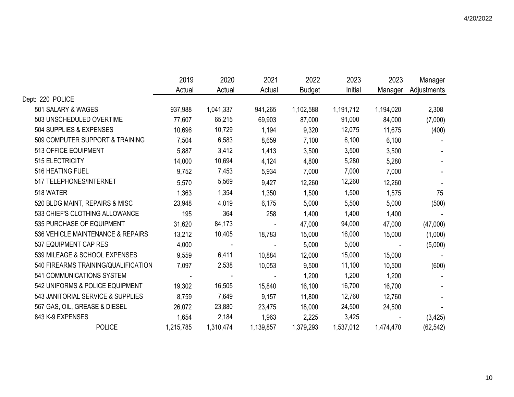|                                     | 2019      | 2020       | 2021      | 2022          | 2023      | 2023      | Manager     |
|-------------------------------------|-----------|------------|-----------|---------------|-----------|-----------|-------------|
|                                     | Actual    | Actual     | Actual    | <b>Budget</b> | Initial   | Manager   | Adjustments |
| Dept: 220 POLICE                    |           |            |           |               |           |           |             |
| 501 SALARY & WAGES                  | 937,988   | 1,041,337  | 941,265   | 1,102,588     | 1,191,712 | 1,194,020 | 2,308       |
| 503 UNSCHEDULED OVERTIME            | 77,607    | 65,215     | 69,903    | 87,000        | 91,000    | 84,000    | (7,000)     |
| 504 SUPPLIES & EXPENSES             | 10,696    | 10,729     | 1,194     | 9,320         | 12,075    | 11,675    | (400)       |
| 509 COMPUTER SUPPORT & TRAINING     | 7,504     | 6,583      | 8,659     | 7,100         | 6,100     | 6,100     |             |
| 513 OFFICE EQUIPMENT                | 5,887     | 3,412      | 1,413     | 3,500         | 3,500     | 3,500     |             |
| 515 ELECTRICITY                     | 14,000    | 10,694     | 4,124     | 4,800         | 5,280     | 5,280     |             |
| 516 HEATING FUEL                    | 9,752     | 7,453      | 5,934     | 7,000         | 7,000     | 7,000     |             |
| 517 TELEPHONES/INTERNET             | 5,570     | 5,569      | 9,427     | 12,260        | 12,260    | 12,260    |             |
| 518 WATER                           | 1,363     | 1,354      | 1,350     | 1,500         | 1,500     | 1,575     | 75          |
| 520 BLDG MAINT, REPAIRS & MISC      | 23,948    | 4,019      | 6,175     | 5,000         | 5,500     | 5,000     | (500)       |
| 533 CHIEF'S CLOTHING ALLOWANCE      | 195       | 364        | 258       | 1,400         | 1,400     | 1,400     |             |
| 535 PURCHASE OF EQUIPMENT           | 31,620    | 84,173     |           | 47,000        | 94,000    | 47,000    | (47,000)    |
| 536 VEHICLE MAINTENANCE & REPAIRS   | 13,212    | 10,405     | 18,783    | 15,000        | 16,000    | 15,000    | (1,000)     |
| 537 EQUIPMENT CAP RES               | 4,000     | $\sim$ $-$ |           | 5,000         | 5,000     | $\sim$    | (5,000)     |
| 539 MILEAGE & SCHOOL EXPENSES       | 9,559     | 6,411      | 10,884    | 12,000        | 15,000    | 15,000    |             |
| 540 FIREARMS TRAINING/QUALIFICATION | 7,097     | 2,538      | 10,053    | 9,500         | 11,100    | 10,500    | (600)       |
| 541 COMMUNICATIONS SYSTEM           |           |            |           | 1,200         | 1,200     | 1,200     |             |
| 542 UNIFORMS & POLICE EQUIPMENT     | 19,302    | 16,505     | 15,840    | 16,100        | 16,700    | 16,700    |             |
| 543 JANITORIAL SERVICE & SUPPLIES   | 8,759     | 7,649      | 9,157     | 11,800        | 12,760    | 12,760    |             |
| 567 GAS, OIL, GREASE & DIESEL       | 26,072    | 23,880     | 23,475    | 18,000        | 24,500    | 24,500    |             |
| 843 K-9 EXPENSES                    | 1,654     | 2,184      | 1,963     | 2,225         | 3,425     |           | (3, 425)    |
| <b>POLICE</b>                       | 1,215,785 | 1,310,474  | 1,139,857 | 1,379,293     | 1,537,012 | 1,474,470 | (62, 542)   |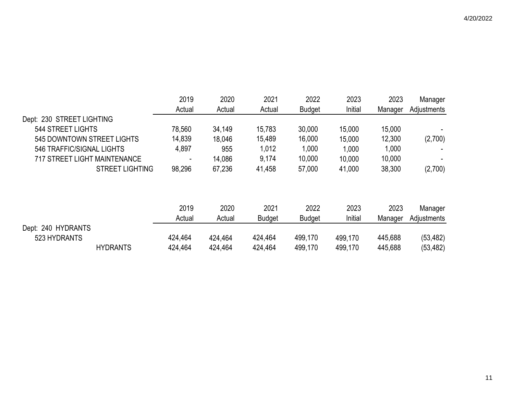|                                     | 2019    | 2020    | 2021          | 2022          | 2023    | 2023    | Manager     |
|-------------------------------------|---------|---------|---------------|---------------|---------|---------|-------------|
|                                     | Actual  | Actual  | Actual        | <b>Budget</b> | Initial | Manager | Adjustments |
| Dept: 230 STREET LIGHTING           |         |         |               |               |         |         |             |
| <b>544 STREET LIGHTS</b>            | 78,560  | 34,149  | 15,783        | 30,000        | 15,000  | 15,000  |             |
| 545 DOWNTOWN STREET LIGHTS          | 14,839  | 18,046  | 15,489        | 16,000        | 15,000  | 12,300  | (2,700)     |
| 546 TRAFFIC/SIGNAL LIGHTS           | 4,897   | 955     | 1,012         | 1,000         | 1,000   | 1,000   |             |
| <b>717 STREET LIGHT MAINTENANCE</b> |         | 14,086  | 9,174         | 10,000        | 10,000  | 10,000  |             |
| <b>STREET LIGHTING</b>              | 98,296  | 67,236  | 41,458        | 57,000        | 41,000  | 38,300  | (2,700)     |
|                                     |         |         |               |               |         |         |             |
|                                     | 2019    | 2020    | 2021          | 2022          | 2023    | 2023    | Manager     |
|                                     | Actual  | Actual  | <b>Budget</b> | <b>Budget</b> | Initial | Manager | Adjustments |
| Dept: 240 HYDRANTS                  |         |         |               |               |         |         |             |
| 523 HYDRANTS                        | 424,464 | 424,464 | 424,464       | 499,170       | 499,170 | 445,688 | (53, 482)   |
| <b>HYDRANTS</b>                     | 424,464 | 424,464 | 424,464       | 499,170       | 499,170 | 445,688 | (53, 482)   |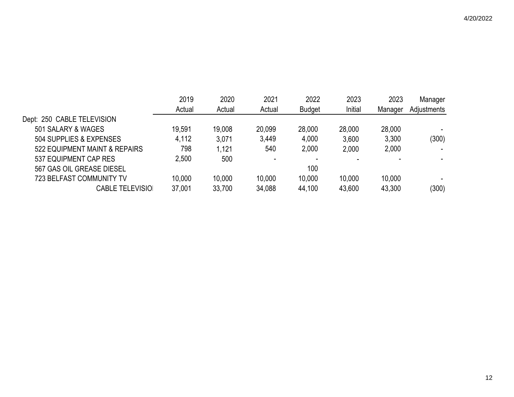|                                 | 2019   | 2020   | 2021   | 2022          | 2023    | 2023    | Manager     |
|---------------------------------|--------|--------|--------|---------------|---------|---------|-------------|
|                                 | Actual | Actual | Actual | <b>Budget</b> | Initial | Manager | Adjustments |
| Dept: 250 CABLE TELEVISION      |        |        |        |               |         |         |             |
| 501 SALARY & WAGES              | 19,591 | 19,008 | 20,099 | 28,000        | 28,000  | 28,000  |             |
| 504 SUPPLIES & EXPENSES         | 4,112  | 3,071  | 3,449  | 4,000         | 3,600   | 3,300   | (300)       |
| 522 EQUIPMENT MAINT & REPAIRS   | 798    | 1,121  | 540    | 2,000         | 2,000   | 2,000   |             |
| 537 EQUIPMENT CAP RES           | 2,500  | 500    |        |               |         |         |             |
| 567 GAS OIL GREASE DIESEL       |        |        |        | 100           |         |         |             |
| <b>723 BELFAST COMMUNITY TV</b> | 10,000 | 10,000 | 10,000 | 10,000        | 10,000  | 10,000  |             |
| <b>CABLE TELEVISIO</b>          | 37,001 | 33,700 | 34,088 | 44,100        | 43,600  | 43,300  | (300)       |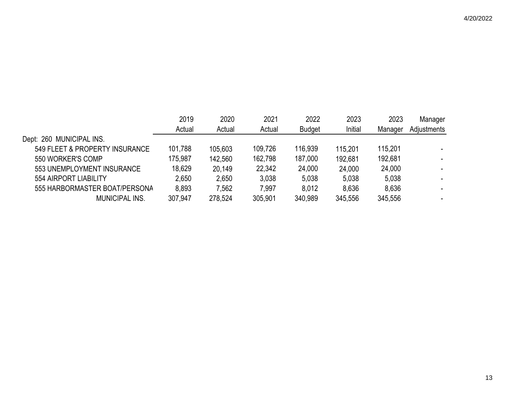|                                | 2019    | 2020    | 2021    | 2022          | 2023    | 2023    | Manager     |
|--------------------------------|---------|---------|---------|---------------|---------|---------|-------------|
|                                | Actual  | Actual  | Actual  | <b>Budget</b> | Initial | Manager | Adjustments |
| Dept: 260 MUNICIPAL INS.       |         |         |         |               |         |         |             |
| 549 FLEET & PROPERTY INSURANCE | 101,788 | 105,603 | 109,726 | 116,939       | 115.201 | 115,201 |             |
| 550 WORKER'S COMP              | 175,987 | 142,560 | 162,798 | 187,000       | 192,681 | 192,681 |             |
| 553 UNEMPLOYMENT INSURANCE     | 18,629  | 20,149  | 22,342  | 24,000        | 24,000  | 24,000  |             |
| 554 AIRPORT LIABILITY          | 2,650   | 2,650   | 3.038   | 5,038         | 5,038   | 5,038   |             |
| 555 HARBORMASTER BOAT/PERSONA  | 8,893   | 7.562   | 7,997   | 8,012         | 8,636   | 8,636   |             |
| <b>MUNICIPAL INS.</b>          | 307,947 | 278.524 | 305,901 | 340,989       | 345,556 | 345,556 |             |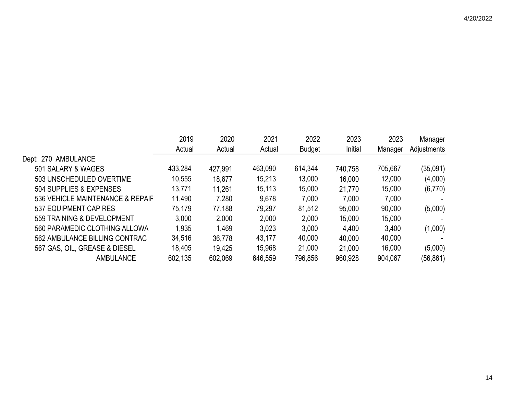2019 2020 2021 2022 2023 2023 Manager Actual Actual Actual Budget Initial Manager Adjustments Dept: 270 AMBULANCE 501 SALARY & WAGES 433,284 427,991 463,090 614,344 740,758 705,667 (35,091) 503 UNSCHEDULED OVERTIME 10,555 18,677 15,213 13,000 16,000 12,000 (4,000) 504 SUPPLIES & EXPENSES 13,771 11,261 15,113 15,000 21,770 15,000 (6,770) 536 VEHICLE MAINTENANCE & REPAIF 11,490 7,280 9,678 7,000 7,000 7,000 7,000 537 EQUIPMENT CAP RES 75,179 77,188 79,297 81,512 95,000 90,000 (5,000) 559 TRAINING & DEVELOPMENT 3,000 2,000 2,000 2,000 15,000 15,000 - 560 PARAMEDIC CLOTHING ALLOWA 1,935 1,469 3,023 3,000 4,400 3,400 (1,000) 562 AMBULANCE BILLING CONTRAC 34,516 36,778 43,177 40,000 40,000 40,000 567 GAS, OIL, GREASE & DIESEL 18,405 19,425 15,968 21,000 21,000 16,000 (5,000) AMBULANCE 602,135 602,069 646,559 796,856 960,928 904,067 (56,861)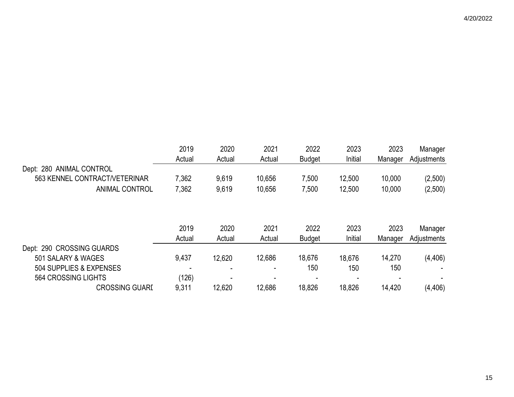|                               | 2019   | 2020   | 2021   | 2022          | 2023    | 2023    | Manager     |
|-------------------------------|--------|--------|--------|---------------|---------|---------|-------------|
|                               | Actual | Actual | Actual | <b>Budget</b> | Initial | Manager | Adjustments |
| Dept: 280 ANIMAL CONTROL      |        |        |        |               |         |         |             |
| 563 KENNEL CONTRACT/VETERINAR | 7,362  | 9,619  | 10,656 | 7,500         | 12,500  | 10,000  | (2,500)     |
| <b>ANIMAL CONTROL</b>         | 7,362  | 9,619  | 10,656 | 7,500         | 12,500  | 10,000  | (2,500)     |
|                               |        |        |        |               |         |         |             |
|                               | 2019   | 2020   | 2021   | 2022          | 2023    | 2023    | Manager     |
|                               | Actual | Actual | Actual | <b>Budget</b> | Initial | Manager | Adjustments |
| Dept: 290 CROSSING GUARDS     |        |        |        |               |         |         |             |
| 501 SALARY & WAGES            | 9,437  | 12,620 | 12,686 | 18,676        | 18,676  | 14,270  | (4, 406)    |
| 504 SUPPLIES & EXPENSES       |        |        |        | 150           | 150     | 150     |             |
| 564 CROSSING LIGHTS           | (126)  |        |        |               |         |         |             |
| <b>CROSSING GUARI</b>         | 9,311  | 12,620 | 12,686 | 18,826        | 18,826  | 14,420  | (4, 406)    |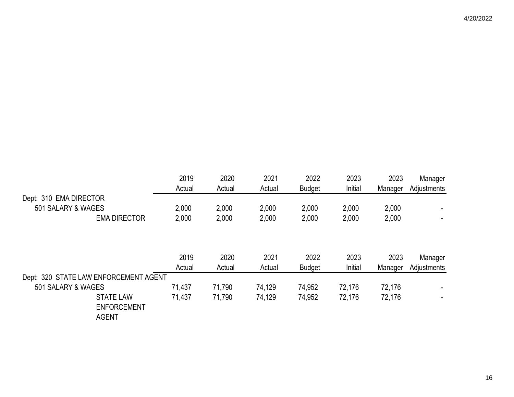|                                       | 2019   | 2020   | 2021   | 2022          | 2023    | 2023    | Manager     |
|---------------------------------------|--------|--------|--------|---------------|---------|---------|-------------|
|                                       | Actual | Actual | Actual | <b>Budget</b> | Initial | Manager | Adjustments |
| Dept: 310 EMA DIRECTOR                |        |        |        |               |         |         |             |
| 501 SALARY & WAGES                    | 2,000  | 2,000  | 2,000  | 2,000         | 2,000   | 2,000   |             |
| <b>EMA DIRECTOR</b>                   | 2,000  | 2,000  | 2,000  | 2,000         | 2,000   | 2,000   |             |
|                                       |        |        |        |               |         |         |             |
|                                       |        |        |        |               |         |         |             |
|                                       | 2019   | 2020   | 2021   | 2022          | 2023    | 2023    | Manager     |
|                                       | Actual | Actual | Actual | <b>Budget</b> | Initial | Manager | Adjustments |
| Dept: 320 STATE LAW ENFORCEMENT AGENT |        |        |        |               |         |         |             |
| 501 SALARY & WAGES                    | 71,437 | 71,790 | 74,129 | 74,952        | 72,176  | 72,176  |             |
| <b>STATE LAW</b>                      | 71,437 | 71,790 | 74,129 | 74,952        | 72,176  | 72,176  |             |
| <b>ENFORCEMENT</b>                    |        |        |        |               |         |         |             |
| <b>AGENT</b>                          |        |        |        |               |         |         |             |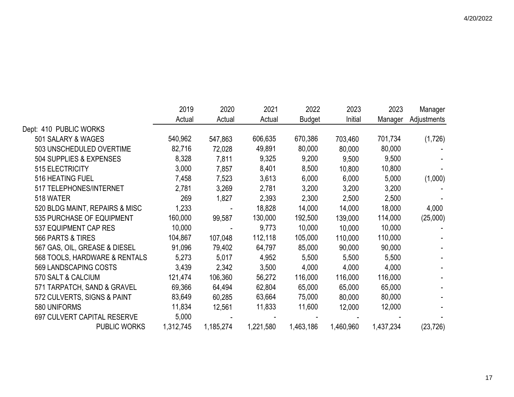|                                | 2019      | 2020      | 2021      | 2022          | 2023      | 2023      | Manager     |
|--------------------------------|-----------|-----------|-----------|---------------|-----------|-----------|-------------|
|                                | Actual    | Actual    | Actual    | <b>Budget</b> | Initial   | Manager   | Adjustments |
| Dept: 410 PUBLIC WORKS         |           |           |           |               |           |           |             |
| 501 SALARY & WAGES             | 540,962   | 547,863   | 606,635   | 670,386       | 703,460   | 701,734   | (1,726)     |
| 503 UNSCHEDULED OVERTIME       | 82,716    | 72,028    | 49,891    | 80,000        | 80,000    | 80,000    |             |
| 504 SUPPLIES & EXPENSES        | 8,328     | 7,811     | 9,325     | 9,200         | 9,500     | 9,500     |             |
| 515 ELECTRICITY                | 3,000     | 7,857     | 8,401     | 8,500         | 10,800    | 10,800    |             |
| 516 HEATING FUEL               | 7,458     | 7,523     | 3,613     | 6,000         | 6,000     | 5,000     | (1,000)     |
| 517 TELEPHONES/INTERNET        | 2,781     | 3,269     | 2,781     | 3,200         | 3,200     | 3,200     |             |
| 518 WATER                      | 269       | 1,827     | 2,393     | 2,300         | 2,500     | 2,500     |             |
| 520 BLDG MAINT, REPAIRS & MISC | 1,233     |           | 18,828    | 14,000        | 14,000    | 18,000    | 4,000       |
| 535 PURCHASE OF EQUIPMENT      | 160,000   | 99,587    | 130,000   | 192,500       | 139,000   | 114,000   | (25,000)    |
| 537 EQUIPMENT CAP RES          | 10,000    |           | 9,773     | 10,000        | 10,000    | 10,000    |             |
| 566 PARTS & TIRES              | 104,867   | 107,048   | 112,118   | 105,000       | 110,000   | 110,000   |             |
| 567 GAS, OIL, GREASE & DIESEL  | 91,096    | 79,402    | 64,797    | 85,000        | 90,000    | 90,000    |             |
| 568 TOOLS, HARDWARE & RENTALS  | 5,273     | 5,017     | 4,952     | 5,500         | 5,500     | 5,500     |             |
| 569 LANDSCAPING COSTS          | 3,439     | 2,342     | 3,500     | 4,000         | 4,000     | 4,000     |             |
| 570 SALT & CALCIUM             | 121,474   | 106,360   | 56,272    | 116,000       | 116,000   | 116,000   |             |
| 571 TARPATCH, SAND & GRAVEL    | 69,366    | 64,494    | 62,804    | 65,000        | 65,000    | 65,000    |             |
| 572 CULVERTS, SIGNS & PAINT    | 83,649    | 60,285    | 63,664    | 75,000        | 80,000    | 80,000    |             |
| 580 UNIFORMS                   | 11,834    | 12,561    | 11,833    | 11,600        | 12,000    | 12,000    |             |
| 697 CULVERT CAPITAL RESERVE    | 5,000     |           |           |               |           |           |             |
| <b>PUBLIC WORKS</b>            | 1,312,745 | 1,185,274 | 1,221,580 | 1,463,186     | 1,460,960 | 1,437,234 | (23, 726)   |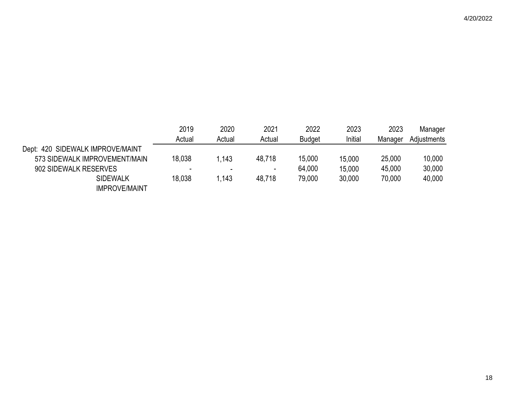|                                  | 2019   | 2020   | 2021                     | 2022          | 2023    | 2023    | Manager     |
|----------------------------------|--------|--------|--------------------------|---------------|---------|---------|-------------|
|                                  | Actual | Actual | Actual                   | <b>Budget</b> | Initial | Manager | Adjustments |
| Dept: 420 SIDEWALK IMPROVE/MAINT |        |        |                          |               |         |         |             |
| 573 SIDEWALK IMPROVEMENT/MAIN    | 18,038 | 1,143  | 48,718                   | 15,000        | 15,000  | 25,000  | 10,000      |
| 902 SIDEWALK RESERVES            |        |        | $\overline{\phantom{a}}$ | 64,000        | 15,000  | 45,000  | 30,000      |
| <b>SIDEWALK</b>                  | 18,038 | 1,143  | 48.718                   | 79,000        | 30,000  | 70,000  | 40,000      |
| <b>IMPROVE/MAINT</b>             |        |        |                          |               |         |         |             |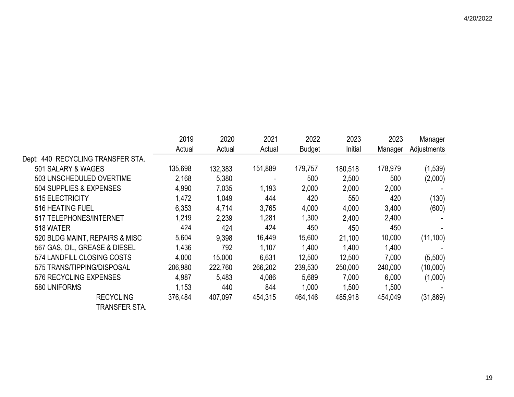2019 2020 2021 2022 2023 2023 Manager Actual Actual Actual Budget Initial Manager Adjustments Dept: 440 RECYCLING TRANSFER STA. 501 SALARY & WAGES 135,698 132,383 151,889 179,757 180,518 178,979 (1,539) 503 UNSCHEDULED OVERTIME 2,168 5,380 - 500 2,500 500 (2,000) 504 SUPPLIES & EXPENSES 4,990 7,035 1,193 2,000 2,000 2,000 - 515 ELECTRICITY 1,472 1,049 444 420 550 420 (130) 516 HEATING FUEL 6,353 4,714 3,765 4,000 4,000 3,400 (600) 517 TELEPHONES/INTERNET 1,219 2,239 1,281 1,300 2,400 2,400 -

| 518 WATER                      | 424     | 424     | 424     | 450     | 450     | 450     | - 1       |
|--------------------------------|---------|---------|---------|---------|---------|---------|-----------|
| 520 BLDG MAINT, REPAIRS & MISC | 5,604   | 9,398   | 16,449  | 15,600  | 21.100  | 10,000  | (11, 100) |
| 567 GAS, OIL, GREASE & DIESEL  | 1,436   | 792     | 1,107   | 1,400   | 1,400   | 1,400   |           |
| 574 LANDFILL CLOSING COSTS     | 4,000   | 15.000  | 6.631   | 12,500  | 12,500  | 7,000   | (5,500)   |
| 575 TRANS/TIPPING/DISPOSAL     | 206,980 | 222,760 | 266,202 | 239,530 | 250,000 | 240,000 | (10,000)  |
| 576 RECYCLING EXPENSES         | 4,987   | 5.483   | 4,086   | 5,689   | 7,000   | 6,000   | (1,000)   |
| 580 UNIFORMS                   | 1,153   | 440     | 844     | 1,000   | 1,500   | 1,500   |           |
| <b>RECYCLING</b>               | 376,484 | 407,097 | 454,315 | 464,146 | 485,918 | 454,049 | (31, 869) |

TRANSFER STA.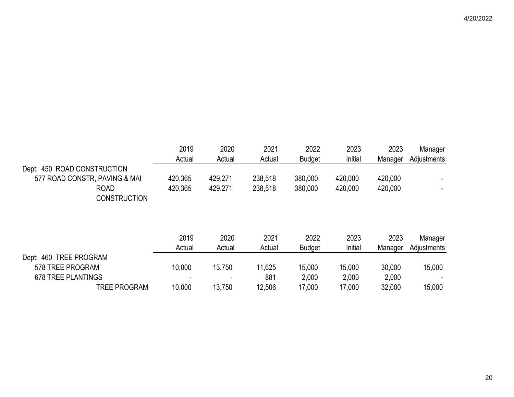| 2019           | 2020           | 2021           | 2022                  | 2023            | 2023            | Manager                |
|----------------|----------------|----------------|-----------------------|-----------------|-----------------|------------------------|
| Actual         | Actual         | Actual         | <b>Budget</b>         | Initial         | Manager         | Adjustments            |
|                |                |                |                       |                 |                 |                        |
| 420,365        | 429,271        | 238,518        | 380,000               | 420,000         | 420,000         |                        |
| 420,365        | 429,271        | 238,518        | 380,000               | 420,000         | 420,000         |                        |
|                |                |                |                       |                 |                 |                        |
| 2019<br>Actual | 2020<br>Actual | 2021<br>Actual | 2022<br><b>Budget</b> | 2023<br>Initial | 2023<br>Manager | Manager<br>Adjustments |
|                |                |                |                       |                 |                 |                        |
| 10,000         | 13,750         | 11,625         | 15,000                | 15,000          | 30,000          | 15,000                 |
|                |                | 881            | 2,000                 | 2,000           | 2,000           |                        |
| 10,000         | 13,750         | 12,506         | 17,000                | 17,000          | 32,000          | 15,000                 |
|                |                |                |                       |                 |                 |                        |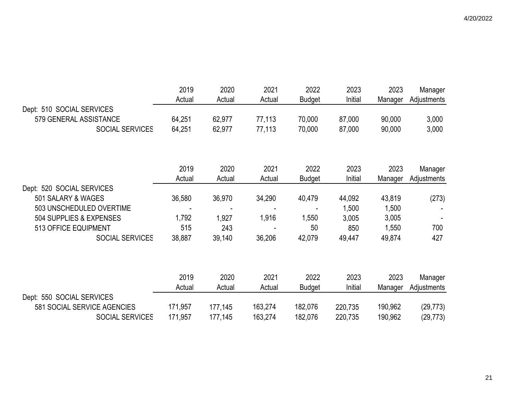|                             | 2019<br>Actual | 2020<br>Actual | 2021    | 2022          | 2023<br>Initial | 2023    | Manager     |
|-----------------------------|----------------|----------------|---------|---------------|-----------------|---------|-------------|
| Dept: 510 SOCIAL SERVICES   |                |                | Actual  | Budget        |                 | Manager | Adjustments |
| 579 GENERAL ASSISTANCE      | 64,251         | 62,977         | 77,113  | 70,000        | 87,000          | 90,000  | 3,000       |
| SOCIAL SERVICES             | 64,251         | 62,977         | 77,113  | 70,000        | 87,000          | 90,000  | 3,000       |
|                             |                |                |         |               |                 |         |             |
|                             | 2019           | 2020           | 2021    | 2022          | 2023            | 2023    | Manager     |
|                             | Actual         | Actual         | Actual  | <b>Budget</b> | Initial         | Manager | Adjustments |
| Dept: 520 SOCIAL SERVICES   |                |                |         |               |                 |         |             |
| 501 SALARY & WAGES          | 36,580         | 36,970         | 34,290  | 40,479        | 44,092          | 43,819  | (273)       |
| 503 UNSCHEDULED OVERTIME    |                |                |         |               | 1,500           | 1,500   |             |
| 504 SUPPLIES & EXPENSES     | 1,792          | 1,927          | 1,916   | 1,550         | 3,005           | 3,005   |             |
| 513 OFFICE EQUIPMENT        | 515            | 243            |         | 50            | 850             | 1,550   | 700         |
| SOCIAL SERVICES             | 38,887         | 39,140         | 36,206  | 42,079        | 49,447          | 49,874  | 427         |
|                             |                |                |         |               |                 |         |             |
|                             | 2019           | 2020           | 2021    | 2022          | 2023            | 2023    | Manager     |
|                             | Actual         | Actual         | Actual  | <b>Budget</b> | Initial         | Manager | Adjustments |
| Dept: 550 SOCIAL SERVICES   |                |                |         |               |                 |         |             |
| 581 SOCIAL SERVICE AGENCIES | 171,957        | 177,145        | 163,274 | 182,076       | 220,735         | 190,962 | (29, 773)   |
| <b>SOCIAL SERVICES</b>      | 171,957        | 177,145        | 163,274 | 182,076       | 220,735         | 190,962 | (29, 773)   |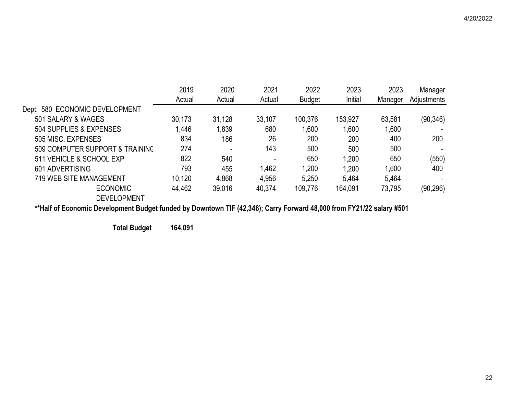|                                 | 2019   | 2020   | 2021                     | 2022          | 2023    | 2023    | Manager     |
|---------------------------------|--------|--------|--------------------------|---------------|---------|---------|-------------|
|                                 | Actual | Actual | Actual                   | <b>Budget</b> | Initial | Manager | Adjustments |
| Dept: 580 ECONOMIC DEVELOPMENT  |        |        |                          |               |         |         |             |
| 501 SALARY & WAGES              | 30,173 | 31,128 | 33,107                   | 100,376       | 153,927 | 63,581  | (90, 346)   |
| 504 SUPPLIES & EXPENSES         | 1,446  | 1,839  | 680                      | 1,600         | 1,600   | 1,600   |             |
| 505 MISC, EXPENSES              | 834    | 186    | 26                       | 200           | 200     | 400     | 200         |
| 509 COMPUTER SUPPORT & TRAINING | 274    |        | 143                      | 500           | 500     | 500     |             |
| 511 VEHICLE & SCHOOL EXP        | 822    | 540    | $\overline{\phantom{0}}$ | 650           | 1,200   | 650     | (550)       |
| 601 ADVERTISING                 | 793    | 455    | 1,462                    | 1,200         | 1,200   | 1,600   | 400         |
| 719 WEB SITE MANAGEMENT         | 10,120 | 4,868  | 4,956                    | 5,250         | 5,464   | 5,464   |             |
| <b>ECONOMIC</b>                 | 44,462 | 39,016 | 40,374                   | 109,776       | 164,091 | 73,795  | (90, 296)   |
| <b>DEVELOPMENT</b>              |        |        |                          |               |         |         |             |

**\*\*Half of Economic Development Budget funded by Downtown TIF (42,346); Carry Forward 48,000 from FY21/22 salary #501**

**Total Budget 164,091**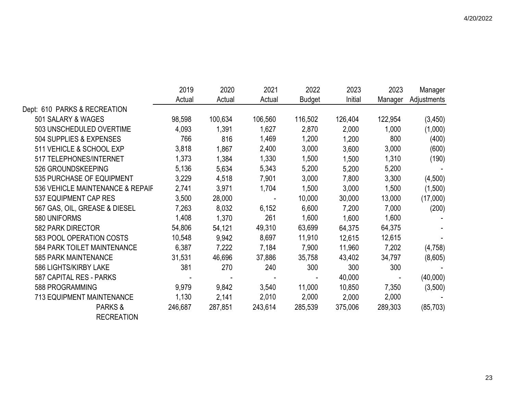|                                  | 2019    | 2020    | 2021           | 2022          | 2023    | 2023    | Manager     |
|----------------------------------|---------|---------|----------------|---------------|---------|---------|-------------|
|                                  | Actual  | Actual  | Actual         | <b>Budget</b> | Initial | Manager | Adjustments |
| Dept: 610 PARKS & RECREATION     |         |         |                |               |         |         |             |
| 501 SALARY & WAGES               | 98,598  | 100,634 | 106,560        | 116,502       | 126,404 | 122,954 | (3,450)     |
| 503 UNSCHEDULED OVERTIME         | 4,093   | 1,391   | 1,627          | 2,870         | 2,000   | 1,000   | (1,000)     |
| 504 SUPPLIES & EXPENSES          | 766     | 816     | 1,469          | 1,200         | 1,200   | 800     | (400)       |
| 511 VEHICLE & SCHOOL EXP         | 3,818   | 1,867   | 2,400          | 3,000         | 3,600   | 3,000   | (600)       |
| 517 TELEPHONES/INTERNET          | 1,373   | 1,384   | 1,330          | 1,500         | 1,500   | 1,310   | (190)       |
| 526 GROUNDSKEEPING               | 5,136   | 5,634   | 5,343          | 5,200         | 5,200   | 5,200   |             |
| 535 PURCHASE OF EQUIPMENT        | 3,229   | 4,518   | 7,901          | 3,000         | 7,800   | 3,300   | (4,500)     |
| 536 VEHICLE MAINTENANCE & REPAIF | 2,741   | 3,971   | 1,704          | 1,500         | 3,000   | 1,500   | (1,500)     |
| 537 EQUIPMENT CAP RES            | 3,500   | 28,000  | $\blacksquare$ | 10,000        | 30,000  | 13,000  | (17,000)    |
| 567 GAS, OIL, GREASE & DIESEL    | 7,263   | 8,032   | 6,152          | 6,600         | 7,200   | 7,000   | (200)       |
| 580 UNIFORMS                     | 1,408   | 1,370   | 261            | 1,600         | 1,600   | 1,600   |             |
| 582 PARK DIRECTOR                | 54,806  | 54,121  | 49,310         | 63,699        | 64,375  | 64,375  |             |
| 583 POOL OPERATION COSTS         | 10,548  | 9,942   | 8,697          | 11,910        | 12,615  | 12,615  |             |
| 584 PARK TOILET MAINTENANCE      | 6,387   | 7,222   | 7,184          | 7,900         | 11,960  | 7,202   | (4, 758)    |
| <b>585 PARK MAINTENANCE</b>      | 31,531  | 46,696  | 37,886         | 35,758        | 43,402  | 34,797  | (8,605)     |
| 586 LIGHTS/KIRBY LAKE            | 381     | 270     | 240            | 300           | 300     | 300     |             |
| 587 CAPITAL RES - PARKS          |         |         |                |               | 40,000  |         | (40,000)    |
| 588 PROGRAMMING                  | 9,979   | 9,842   | 3,540          | 11,000        | 10,850  | 7,350   | (3,500)     |
| <b>713 EQUIPMENT MAINTENANCE</b> | 1,130   | 2,141   | 2,010          | 2,000         | 2,000   | 2,000   |             |
| PARKS &                          | 246,687 | 287,851 | 243,614        | 285,539       | 375,006 | 289,303 | (85, 703)   |
| <b>RECREATION</b>                |         |         |                |               |         |         |             |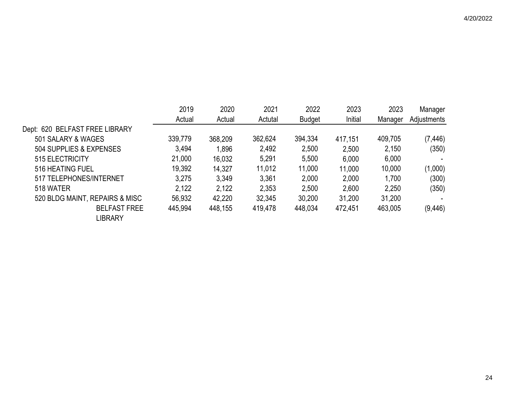|                                | 2019    | 2020    | 2021    | 2022          | 2023    | 2023    | Manager     |
|--------------------------------|---------|---------|---------|---------------|---------|---------|-------------|
|                                | Actual  | Actual  | Actutal | <b>Budget</b> | Initial | Manager | Adjustments |
| Dept: 620 BELFAST FREE LIBRARY |         |         |         |               |         |         |             |
| 501 SALARY & WAGES             | 339,779 | 368,209 | 362,624 | 394,334       | 417,151 | 409,705 | (7, 446)    |
| 504 SUPPLIES & EXPENSES        | 3,494   | 1,896   | 2,492   | 2,500         | 2,500   | 2,150   | (350)       |
| 515 ELECTRICITY                | 21,000  | 16,032  | 5,291   | 5,500         | 6,000   | 6,000   |             |
| 516 HEATING FUEL               | 19,392  | 14,327  | 11,012  | 11,000        | 11,000  | 10,000  | (1,000)     |
| 517 TELEPHONES/INTERNET        | 3,275   | 3,349   | 3,361   | 2,000         | 2,000   | 1,700   | (300)       |
| 518 WATER                      | 2,122   | 2,122   | 2,353   | 2,500         | 2,600   | 2,250   | (350)       |
| 520 BLDG MAINT, REPAIRS & MISC | 56,932  | 42,220  | 32,345  | 30,200        | 31,200  | 31,200  |             |
| <b>BELFAST FREE</b>            | 445,994 | 448,155 | 419,478 | 448,034       | 472,451 | 463,005 | (9, 446)    |
| <b>LIBRARY</b>                 |         |         |         |               |         |         |             |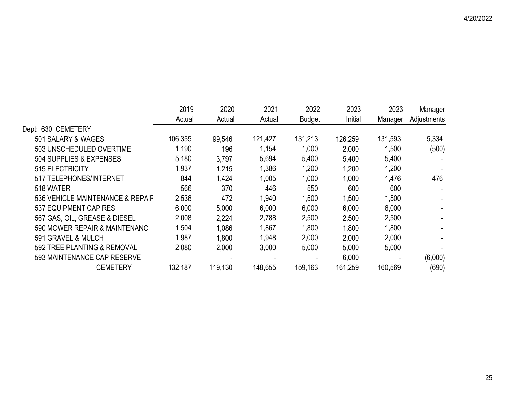|                                  | 2019    | 2020    | 2021    | 2022          | 2023    | 2023    | Manager     |
|----------------------------------|---------|---------|---------|---------------|---------|---------|-------------|
|                                  | Actual  | Actual  | Actual  | <b>Budget</b> | Initial | Manager | Adjustments |
| Dept: 630 CEMETERY               |         |         |         |               |         |         |             |
| 501 SALARY & WAGES               | 106,355 | 99,546  | 121,427 | 131,213       | 126,259 | 131,593 | 5,334       |
| 503 UNSCHEDULED OVERTIME         | 1,190   | 196     | 1,154   | 1,000         | 2,000   | 1,500   | (500)       |
| 504 SUPPLIES & EXPENSES          | 5,180   | 3,797   | 5,694   | 5,400         | 5,400   | 5,400   |             |
| 515 ELECTRICITY                  | 1,937   | 1,215   | 1,386   | 1,200         | 1,200   | 1,200   |             |
| 517 TELEPHONES/INTERNET          | 844     | 1,424   | 1,005   | 1,000         | 1,000   | 1,476   | 476         |
| 518 WATER                        | 566     | 370     | 446     | 550           | 600     | 600     |             |
| 536 VEHICLE MAINTENANCE & REPAIF | 2,536   | 472     | 1,940   | 1,500         | 1,500   | 1,500   |             |
| 537 EQUIPMENT CAP RES            | 6,000   | 5,000   | 6,000   | 6,000         | 6,000   | 6,000   |             |
| 567 GAS, OIL, GREASE & DIESEL    | 2,008   | 2,224   | 2,788   | 2,500         | 2,500   | 2,500   |             |
| 590 MOWER REPAIR & MAINTENANC    | 1,504   | 1,086   | 1,867   | 1,800         | 1,800   | 1,800   |             |
| 591 GRAVEL & MULCH               | 1,987   | 1,800   | 1,948   | 2,000         | 2,000   | 2,000   |             |
| 592 TREE PLANTING & REMOVAL      | 2,080   | 2,000   | 3,000   | 5,000         | 5,000   | 5,000   |             |
| 593 MAINTENANCE CAP RESERVE      |         |         |         |               | 6,000   |         | (6,000)     |
| <b>CEMETERY</b>                  | 132,187 | 119,130 | 148,655 | 159,163       | 161,259 | 160,569 | (690)       |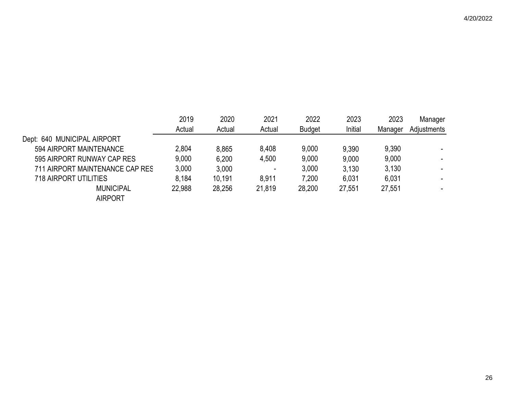|                                 | 2019   | 2020   | 2021                     | 2022          | 2023    | 2023    | Manager     |
|---------------------------------|--------|--------|--------------------------|---------------|---------|---------|-------------|
|                                 | Actual | Actual | Actual                   | <b>Budget</b> | Initial | Manager | Adjustments |
| Dept: 640 MUNICIPAL AIRPORT     |        |        |                          |               |         |         |             |
| 594 AIRPORT MAINTENANCE         | 2,804  | 8,865  | 8,408                    | 9,000         | 9,390   | 9,390   |             |
| 595 AIRPORT RUNWAY CAP RES      | 9,000  | 6,200  | 4,500                    | 9,000         | 9,000   | 9,000   |             |
| 711 AIRPORT MAINTENANCE CAP RES | 3,000  | 3,000  | $\overline{\phantom{a}}$ | 3,000         | 3,130   | 3,130   |             |
| <b>718 AIRPORT UTILITIES</b>    | 8,184  | 10,191 | 8,911                    | 7,200         | 6.031   | 6,031   |             |
| <b>MUNICIPAL</b>                | 22,988 | 28,256 | 21,819                   | 28,200        | 27,551  | 27,551  |             |
| <b>AIRPORT</b>                  |        |        |                          |               |         |         |             |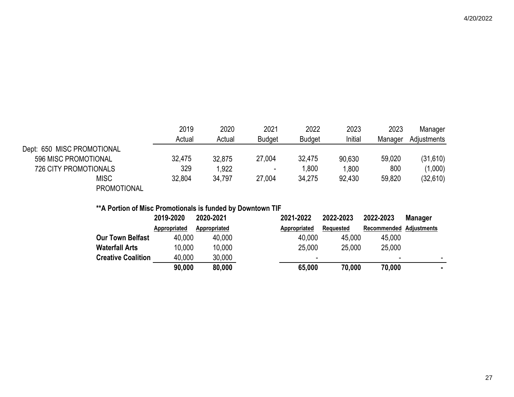|                              | 2019<br>Actual | 2020<br>Actual | 2021<br><b>Budget</b>    | 2022<br><b>Budget</b> | 2023<br>Initial | 2023<br>Manager | Manager<br>Adjustments |
|------------------------------|----------------|----------------|--------------------------|-----------------------|-----------------|-----------------|------------------------|
| Dept: 650 MISC PROMOTIONAL   |                |                |                          |                       |                 |                 |                        |
| 596 MISC PROMOTIONAL         | 32,475         | 32,875         | 27,004                   | 32,475                | 90,630          | 59,020          | (31,610)               |
| <b>726 CITY PROMOTIONALS</b> | 329            | 1,922          | $\overline{\phantom{a}}$ | 1,800                 | 1,800           | 800             | (1,000)                |
| <b>MISC</b>                  | 32,804         | 34,797         | 27,004                   | 34,275                | 92,430          | 59,820          | (32,610)               |
| <b>PROMOTIONAL</b>           |                |                |                          |                       |                 |                 |                        |

# **\*\*A Portion of Misc Promotionals is funded by Downtown TIF**

|                           | 2019-2020    | 2020-2021    | 2021-2022    | 2022-2023 | 2022-2023                | <b>Manager</b>           |
|---------------------------|--------------|--------------|--------------|-----------|--------------------------|--------------------------|
|                           | Appropriated | Appropriated | Appropriated | Requested | Recommended Adjustments  |                          |
| <b>Our Town Belfast</b>   | 40,000       | 40,000       | 40,000       | 45,000    | 45,000                   |                          |
| <b>Waterfall Arts</b>     | 10,000       | 10,000       | 25,000       | 25.000    | 25,000                   |                          |
| <b>Creative Coalition</b> | 40,000       | 30,000       | -            |           | $\overline{\phantom{a}}$ | $\overline{\phantom{a}}$ |
|                           | 90,000       | 80,000       | 65,000       | 70,000    | 70,000                   |                          |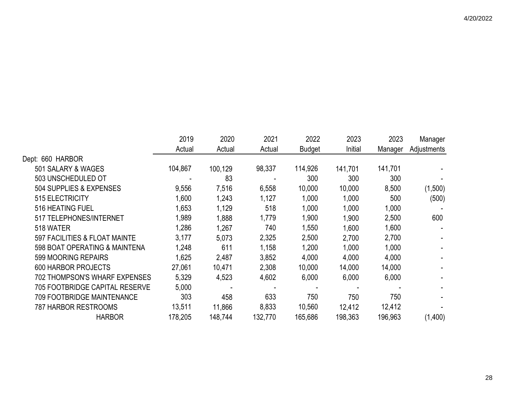|                                       | 2019    | 2020    | 2021    | 2022          | 2023    | 2023    | Manager     |
|---------------------------------------|---------|---------|---------|---------------|---------|---------|-------------|
|                                       | Actual  | Actual  | Actual  | <b>Budget</b> | Initial | Manager | Adjustments |
| Dept: 660 HARBOR                      |         |         |         |               |         |         |             |
| 501 SALARY & WAGES                    | 104,867 | 100,129 | 98,337  | 114,926       | 141,701 | 141,701 |             |
| 503 UNSCHEDULED OT                    |         | 83      |         | 300           | 300     | 300     |             |
| 504 SUPPLIES & EXPENSES               | 9,556   | 7,516   | 6,558   | 10,000        | 10,000  | 8,500   | (1,500)     |
| 515 ELECTRICITY                       | 1,600   | 1,243   | 1,127   | 1,000         | 1,000   | 500     | (500)       |
| 516 HEATING FUEL                      | 1,653   | 1,129   | 518     | 1,000         | 1,000   | 1,000   |             |
| 517 TELEPHONES/INTERNET               | 1,989   | 1,888   | 1,779   | 1,900         | 1,900   | 2,500   | 600         |
| 518 WATER                             | 1,286   | 1,267   | 740     | 1,550         | 1,600   | 1,600   |             |
| 597 FACILITIES & FLOAT MAINTE         | 3,177   | 5,073   | 2,325   | 2,500         | 2,700   | 2,700   |             |
| 598 BOAT OPERATING & MAINTENA         | 1,248   | 611     | 1,158   | 1,200         | 1,000   | 1,000   |             |
| 599 MOORING REPAIRS                   | 1,625   | 2,487   | 3,852   | 4,000         | 4,000   | 4,000   |             |
| <b>600 HARBOR PROJECTS</b>            | 27,061  | 10,471  | 2,308   | 10,000        | 14,000  | 14,000  |             |
| 702 THOMPSON'S WHARF EXPENSES         | 5,329   | 4,523   | 4,602   | 6,000         | 6,000   | 6,000   |             |
| <b>705 FOOTBRIDGE CAPITAL RESERVE</b> | 5,000   |         |         |               |         |         |             |
| 709 FOOTBRIDGE MAINTENANCE            | 303     | 458     | 633     | 750           | 750     | 750     |             |
| <b>787 HARBOR RESTROOMS</b>           | 13,511  | 11,866  | 8,833   | 10,560        | 12,412  | 12,412  |             |
| <b>HARBOR</b>                         | 178,205 | 148,744 | 132,770 | 165,686       | 198,363 | 196,963 | (1,400)     |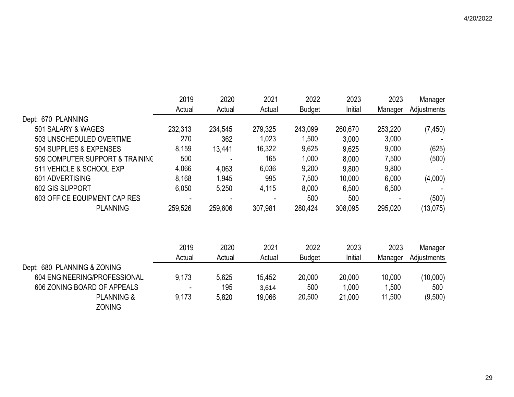|                                        | 2019    | 2020    | 2021    | 2022          | 2023    | 2023    | Manager     |
|----------------------------------------|---------|---------|---------|---------------|---------|---------|-------------|
|                                        | Actual  | Actual  | Actual  | <b>Budget</b> | Initial | Manager | Adjustments |
| Dept: 670 PLANNING                     |         |         |         |               |         |         |             |
| 501 SALARY & WAGES                     | 232,313 | 234,545 | 279,325 | 243,099       | 260,670 | 253,220 | (7, 450)    |
| 503 UNSCHEDULED OVERTIME               | 270     | 362     | 1,023   | 1,500         | 3,000   | 3,000   |             |
| 504 SUPPLIES & EXPENSES                | 8,159   | 13,441  | 16,322  | 9,625         | 9,625   | 9,000   | (625)       |
| 509 COMPUTER SUPPORT & TRAINING        | 500     |         | 165     | 1,000         | 8,000   | 7,500   | (500)       |
| 511 VEHICLE & SCHOOL EXP               | 4,066   | 4,063   | 6,036   | 9,200         | 9,800   | 9,800   |             |
| 601 ADVERTISING                        | 8,168   | 1,945   | 995     | 7,500         | 10,000  | 6,000   | (4,000)     |
| 602 GIS SUPPORT                        | 6,050   | 5,250   | 4,115   | 8,000         | 6,500   | 6,500   |             |
| 603 OFFICE EQUIPMENT CAP RES           |         |         |         | 500           | 500     |         | (500)       |
| <b>PLANNING</b>                        | 259,526 | 259,606 | 307,981 | 280,424       | 308,095 | 295,020 | (13,075)    |
|                                        | 2019    | 2020    | 2021    | 2022          | 2023    | 2023    | Manager     |
|                                        | Actual  | Actual  | Actual  | <b>Budget</b> | Initial | Manager | Adjustments |
| Dept: 680 PLANNING & ZONING            |         |         |         |               |         |         |             |
| 604 ENGINEERING/PROFESSIONAL           | 9,173   | 5,625   | 15,452  | 20,000        | 20,000  | 10,000  | (10,000)    |
| 606 ZONING BOARD OF APPEALS            |         | 195     | 3,614   | 500           | 1,000   | 1,500   | 500         |
| <b>PLANNING &amp;</b><br><b>ZONING</b> | 9,173   | 5,820   | 19,066  | 20,500        | 21,000  | 11,500  | (9,500)     |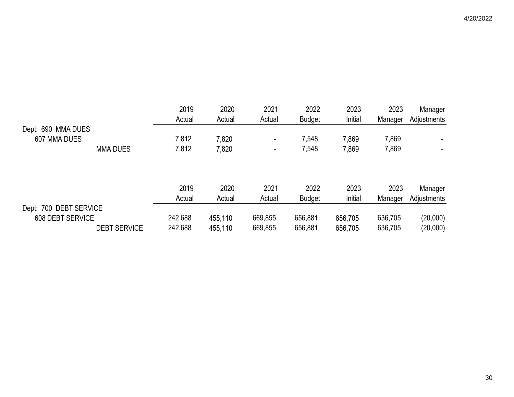|                        |                     | 2019    | 2020    | 2021                     | 2022          | 2023    | 2023    | Manager     |
|------------------------|---------------------|---------|---------|--------------------------|---------------|---------|---------|-------------|
|                        |                     | Actual  | Actual  | Actual                   | <b>Budget</b> | Initial | Manager | Adjustments |
| Dept: 690 MMA DUES     |                     |         |         |                          |               |         |         |             |
| 607 MMA DUES           |                     | 7,812   | 7,820   | $\blacksquare$           | 7,548         | 7,869   | 7,869   |             |
|                        | <b>MMA DUES</b>     | 7,812   | 7,820   | $\overline{\phantom{0}}$ | 7,548         | 7,869   | 7,869   |             |
|                        |                     |         |         |                          |               |         |         |             |
|                        |                     |         |         |                          |               |         |         |             |
|                        |                     | 2019    | 2020    | 2021                     | 2022          | 2023    | 2023    | Manager     |
|                        |                     | Actual  | Actual  | Actual                   | <b>Budget</b> | Initial | Manager | Adjustments |
| Dept: 700 DEBT SERVICE |                     |         |         |                          |               |         |         |             |
| 608 DEBT SERVICE       |                     | 242,688 | 455,110 | 669,855                  | 656,881       | 656,705 | 636,705 | (20,000)    |
|                        | <b>DEBT SERVICE</b> | 242,688 | 455,110 | 669,855                  | 656,881       | 656,705 | 636,705 | (20,000)    |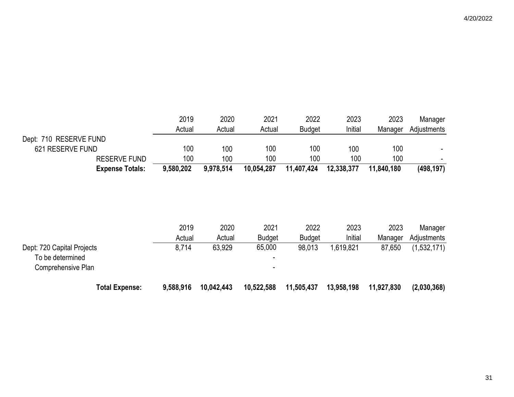|                                                                      |                        | 2019      | 2020       | 2021                     | 2022          | 2023       | 2023       | Manager     |
|----------------------------------------------------------------------|------------------------|-----------|------------|--------------------------|---------------|------------|------------|-------------|
|                                                                      |                        | Actual    | Actual     | Actual                   | <b>Budget</b> | Initial    | Manager    | Adjustments |
| Dept: 710 RESERVE FUND                                               |                        |           |            |                          |               |            |            |             |
| 621 RESERVE FUND                                                     |                        | 100       | 100        | 100                      | 100           | 100        | 100        |             |
|                                                                      | <b>RESERVE FUND</b>    | 100       | 100        | 100                      | 100           | 100        | 100        |             |
|                                                                      | <b>Expense Totals:</b> | 9,580,202 | 9,978,514  | 10,054,287               | 11,407,424    | 12,338,377 | 11,840,180 | (498, 197)  |
|                                                                      |                        |           |            |                          |               |            |            |             |
|                                                                      |                        | 2019      | 2020       | 2021                     | 2022          | 2023       | 2023       | Manager     |
|                                                                      |                        | Actual    | Actual     | <b>Budget</b>            | <b>Budget</b> | Initial    | Manager    | Adjustments |
| Dept: 720 Capital Projects<br>To be determined<br>Comprehensive Plan |                        | 8,714     | 63,929     | 65,000<br>$\blacksquare$ | 98,013        | 1,619,821  | 87,650     | (1,532,171) |
|                                                                      | <b>Total Expense:</b>  | 9,588,916 | 10,042,443 | 10,522,588               | 11,505,437    | 13,958,198 | 11,927,830 | (2,030,368) |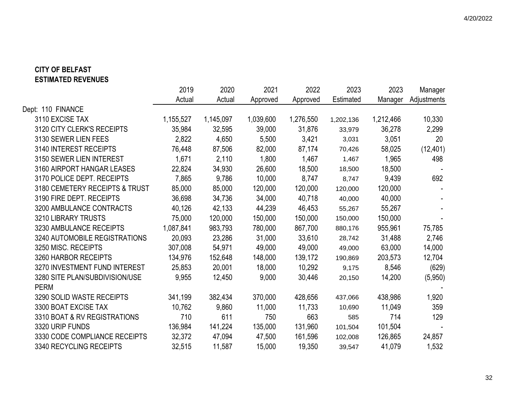## **CITY OF BELFAST ESTIMATED REVENUES**

|                                | 2019      | 2020      | 2021      | 2022      | 2023      | 2023      | Manager     |
|--------------------------------|-----------|-----------|-----------|-----------|-----------|-----------|-------------|
|                                | Actual    | Actual    | Approved  | Approved  | Estimated | Manager   | Adjustments |
| Dept: 110 FINANCE              |           |           |           |           |           |           |             |
| 3110 EXCISE TAX                | 1,155,527 | 1,145,097 | 1,039,600 | 1,276,550 | 1,202,136 | 1,212,466 | 10,330      |
| 3120 CITY CLERK'S RECEIPTS     | 35,984    | 32,595    | 39,000    | 31,876    | 33,979    | 36,278    | 2,299       |
| 3130 SEWER LIEN FEES           | 2,822     | 4,650     | 5,500     | 3,421     | 3,031     | 3,051     | 20          |
| 3140 INTEREST RECEIPTS         | 76,448    | 87,506    | 82,000    | 87,174    | 70,426    | 58,025    | (12, 401)   |
| 3150 SEWER LIEN INTEREST       | 1,671     | 2,110     | 1,800     | 1,467     | 1,467     | 1,965     | 498         |
| 3160 AIRPORT HANGAR LEASES     | 22,824    | 34,930    | 26,600    | 18,500    | 18,500    | 18,500    |             |
| 3170 POLICE DEPT. RECEIPTS     | 7,865     | 9,786     | 10,000    | 8,747     | 8,747     | 9,439     | 692         |
| 3180 CEMETERY RECEIPTS & TRUST | 85,000    | 85,000    | 120,000   | 120,000   | 120,000   | 120,000   |             |
| 3190 FIRE DEPT. RECEIPTS       | 36,698    | 34,736    | 34,000    | 40,718    | 40,000    | 40,000    |             |
| 3200 AMBULANCE CONTRACTS       | 40,126    | 42,133    | 44,239    | 46,453    | 55,267    | 55,267    |             |
| 3210 LIBRARY TRUSTS            | 75,000    | 120,000   | 150,000   | 150,000   | 150,000   | 150,000   |             |
| 3230 AMBULANCE RECEIPTS        | 1,087,841 | 983,793   | 780,000   | 867,700   | 880,176   | 955,961   | 75,785      |
| 3240 AUTOMOBILE REGISTRATIONS  | 20,093    | 23,286    | 31,000    | 33,610    | 28,742    | 31,488    | 2,746       |
| 3250 MISC. RECEIPTS            | 307,008   | 54,971    | 49,000    | 49,000    | 49,000    | 63,000    | 14,000      |
| 3260 HARBOR RECEIPTS           | 134,976   | 152,648   | 148,000   | 139,172   | 190,869   | 203,573   | 12,704      |
| 3270 INVESTMENT FUND INTEREST  | 25,853    | 20,001    | 18,000    | 10,292    | 9,175     | 8,546     | (629)       |
| 3280 SITE PLAN/SUBDIVISION/USE | 9,955     | 12,450    | 9,000     | 30,446    | 20,150    | 14,200    | (5,950)     |
| <b>PERM</b>                    |           |           |           |           |           |           |             |
| 3290 SOLID WASTE RECEIPTS      | 341,199   | 382,434   | 370,000   | 428,656   | 437,066   | 438,986   | 1,920       |
| 3300 BOAT EXCISE TAX           | 10,762    | 9,860     | 11,000    | 11,733    | 10,690    | 11,049    | 359         |
| 3310 BOAT & RV REGISTRATIONS   | 710       | 611       | 750       | 663       | 585       | 714       | 129         |
| 3320 URIP FUNDS                | 136,984   | 141,224   | 135,000   | 131,960   | 101,504   | 101,504   |             |
| 3330 CODE COMPLIANCE RECEIPTS  | 32,372    | 47,094    | 47,500    | 161,596   | 102,008   | 126,865   | 24,857      |
| 3340 RECYCLING RECEIPTS        | 32,515    | 11,587    | 15,000    | 19,350    | 39,547    | 41,079    | 1,532       |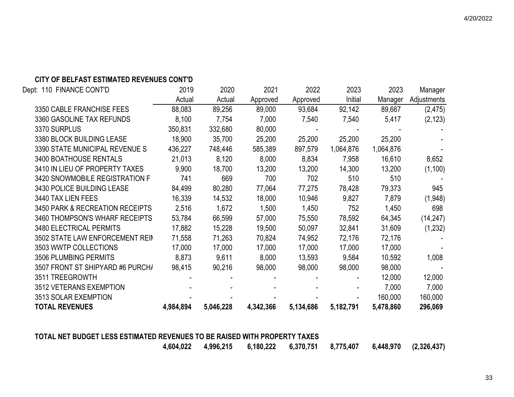### **CITY OF BELFAST ESTIMATED REVENUES CONT'D**

| Dept: 110 FINANCE CONT'D                   | 2019      | 2020      | 2021      | 2022      | 2023      | 2023      | Manager     |
|--------------------------------------------|-----------|-----------|-----------|-----------|-----------|-----------|-------------|
|                                            | Actual    | Actual    | Approved  | Approved  | Initial   | Manager   | Adjustments |
| 3350 CABLE FRANCHISE FEES                  | 88,083    | 89,256    | 89,000    | 93,684    | 92,142    | 89,667    | (2, 475)    |
| 3360 GASOLINE TAX REFUNDS                  | 8,100     | 7,754     | 7,000     | 7,540     | 7,540     | 5,417     | (2, 123)    |
| 3370 SURPLUS                               | 350,831   | 332,680   | 80,000    |           |           |           |             |
| 3380 BLOCK BUILDING LEASE                  | 18,900    | 35,700    | 25,200    | 25,200    | 25,200    | 25,200    |             |
| 3390 STATE MUNICIPAL REVENUE S             | 436,227   | 748,446   | 585,389   | 897,579   | 1,064,876 | 1,064,876 |             |
| 3400 BOATHOUSE RENTALS                     | 21,013    | 8,120     | 8,000     | 8,834     | 7,958     | 16,610    | 8,652       |
| 3410 IN LIEU OF PROPERTY TAXES             | 9,900     | 18,700    | 13,200    | 13,200    | 14,300    | 13,200    | (1,100)     |
| 3420 SNOWMOBILE REGISTRATION F             | 741       | 669       | 700       | 702       | 510       | 510       |             |
| 3430 POLICE BUILDING LEASE                 | 84,499    | 80,280    | 77,064    | 77,275    | 78,428    | 79,373    | 945         |
| 3440 TAX LIEN FEES                         | 16,339    | 14,532    | 18,000    | 10,946    | 9,827     | 7,879     | (1,948)     |
| <b>3450 PARK &amp; RECREATION RECEIPTS</b> | 2,516     | 1,672     | 1,500     | 1,450     | 752       | 1,450     | 698         |
| 3460 THOMPSON'S WHARF RECEIPTS             | 53,784    | 66,599    | 57,000    | 75,550    | 78,592    | 64,345    | (14, 247)   |
| <b>3480 ELECTRICAL PERMITS</b>             | 17,882    | 15,228    | 19,500    | 50,097    | 32,841    | 31,609    | (1,232)     |
| 3502 STATE LAW ENFORCEMENT REIN            | 71,558    | 71,263    | 70,824    | 74,952    | 72,176    | 72,176    |             |
| 3503 WWTP COLLECTIONS                      | 17,000    | 17,000    | 17,000    | 17,000    | 17,000    | 17,000    |             |
| 3506 PLUMBING PERMITS                      | 8,873     | 9,611     | 8,000     | 13,593    | 9,584     | 10,592    | 1,008       |
| 3507 FRONT ST SHIPYARD #6 PURCH/           | 98,415    | 90,216    | 98,000    | 98,000    | 98,000    | 98,000    |             |
| 3511 TREEGROWTH                            |           |           |           |           |           | 12,000    | 12,000      |
| 3512 VETERANS EXEMPTION                    |           |           |           |           |           | 7,000     | 7,000       |
| 3513 SOLAR EXEMPTION                       |           |           |           |           |           | 160,000   | 160,000     |
| <b>TOTAL REVENUES</b>                      | 4,984,894 | 5,046,228 | 4,342,366 | 5,134,686 | 5,182,791 | 5,478,860 | 296,069     |
|                                            |           |           |           |           |           |           |             |

#### **TOTAL NET BUDGET LESS ESTIMATED REVENUES TO BE RAISED WITH PROPERTY TAXES**

 **4,604,022 4,996,215 6,180,222 6,370,751 8,775,407 6,448,970 (2,326,437)**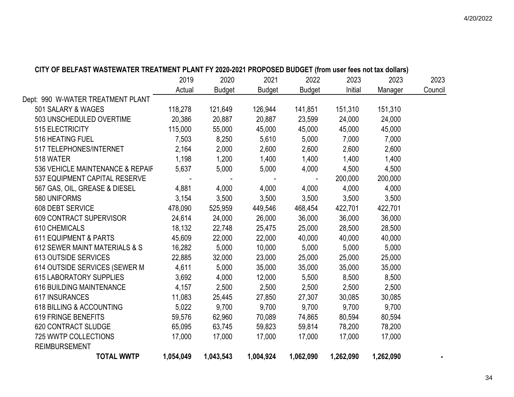|           |                                                                                                                                                |                                                                                                                                                                |                                                                                                                                              |                                                                                                                                                                           |                                                                                                                                                                   | 2023                                                                                                                                                                                                                                                                 |
|-----------|------------------------------------------------------------------------------------------------------------------------------------------------|----------------------------------------------------------------------------------------------------------------------------------------------------------------|----------------------------------------------------------------------------------------------------------------------------------------------|---------------------------------------------------------------------------------------------------------------------------------------------------------------------------|-------------------------------------------------------------------------------------------------------------------------------------------------------------------|----------------------------------------------------------------------------------------------------------------------------------------------------------------------------------------------------------------------------------------------------------------------|
|           |                                                                                                                                                |                                                                                                                                                                |                                                                                                                                              |                                                                                                                                                                           |                                                                                                                                                                   | Council                                                                                                                                                                                                                                                              |
|           |                                                                                                                                                |                                                                                                                                                                |                                                                                                                                              |                                                                                                                                                                           |                                                                                                                                                                   |                                                                                                                                                                                                                                                                      |
|           |                                                                                                                                                |                                                                                                                                                                |                                                                                                                                              |                                                                                                                                                                           |                                                                                                                                                                   |                                                                                                                                                                                                                                                                      |
|           |                                                                                                                                                |                                                                                                                                                                |                                                                                                                                              |                                                                                                                                                                           |                                                                                                                                                                   |                                                                                                                                                                                                                                                                      |
|           |                                                                                                                                                |                                                                                                                                                                |                                                                                                                                              |                                                                                                                                                                           |                                                                                                                                                                   |                                                                                                                                                                                                                                                                      |
|           |                                                                                                                                                |                                                                                                                                                                |                                                                                                                                              |                                                                                                                                                                           |                                                                                                                                                                   |                                                                                                                                                                                                                                                                      |
|           |                                                                                                                                                |                                                                                                                                                                |                                                                                                                                              |                                                                                                                                                                           |                                                                                                                                                                   |                                                                                                                                                                                                                                                                      |
|           |                                                                                                                                                |                                                                                                                                                                |                                                                                                                                              |                                                                                                                                                                           |                                                                                                                                                                   |                                                                                                                                                                                                                                                                      |
|           |                                                                                                                                                |                                                                                                                                                                |                                                                                                                                              |                                                                                                                                                                           |                                                                                                                                                                   |                                                                                                                                                                                                                                                                      |
|           |                                                                                                                                                |                                                                                                                                                                |                                                                                                                                              |                                                                                                                                                                           |                                                                                                                                                                   |                                                                                                                                                                                                                                                                      |
|           |                                                                                                                                                |                                                                                                                                                                |                                                                                                                                              |                                                                                                                                                                           |                                                                                                                                                                   |                                                                                                                                                                                                                                                                      |
|           |                                                                                                                                                |                                                                                                                                                                |                                                                                                                                              |                                                                                                                                                                           |                                                                                                                                                                   |                                                                                                                                                                                                                                                                      |
|           |                                                                                                                                                |                                                                                                                                                                |                                                                                                                                              |                                                                                                                                                                           |                                                                                                                                                                   |                                                                                                                                                                                                                                                                      |
|           |                                                                                                                                                |                                                                                                                                                                |                                                                                                                                              |                                                                                                                                                                           |                                                                                                                                                                   |                                                                                                                                                                                                                                                                      |
|           |                                                                                                                                                |                                                                                                                                                                |                                                                                                                                              |                                                                                                                                                                           |                                                                                                                                                                   |                                                                                                                                                                                                                                                                      |
|           |                                                                                                                                                |                                                                                                                                                                |                                                                                                                                              |                                                                                                                                                                           | 40,000                                                                                                                                                            |                                                                                                                                                                                                                                                                      |
|           |                                                                                                                                                |                                                                                                                                                                |                                                                                                                                              |                                                                                                                                                                           |                                                                                                                                                                   |                                                                                                                                                                                                                                                                      |
| 22,885    | 32,000                                                                                                                                         | 23,000                                                                                                                                                         | 25,000                                                                                                                                       | 25,000                                                                                                                                                                    | 25,000                                                                                                                                                            |                                                                                                                                                                                                                                                                      |
| 4,611     | 5,000                                                                                                                                          | 35,000                                                                                                                                                         |                                                                                                                                              | 35,000                                                                                                                                                                    | 35,000                                                                                                                                                            |                                                                                                                                                                                                                                                                      |
| 3,692     | 4,000                                                                                                                                          | 12,000                                                                                                                                                         | 5,500                                                                                                                                        | 8,500                                                                                                                                                                     | 8,500                                                                                                                                                             |                                                                                                                                                                                                                                                                      |
| 4,157     | 2,500                                                                                                                                          | 2,500                                                                                                                                                          | 2,500                                                                                                                                        | 2,500                                                                                                                                                                     | 2,500                                                                                                                                                             |                                                                                                                                                                                                                                                                      |
| 11,083    | 25,445                                                                                                                                         | 27,850                                                                                                                                                         | 27,307                                                                                                                                       | 30,085                                                                                                                                                                    | 30,085                                                                                                                                                            |                                                                                                                                                                                                                                                                      |
| 5,022     | 9,700                                                                                                                                          | 9,700                                                                                                                                                          | 9,700                                                                                                                                        | 9,700                                                                                                                                                                     | 9,700                                                                                                                                                             |                                                                                                                                                                                                                                                                      |
| 59,576    | 62,960                                                                                                                                         | 70,089                                                                                                                                                         | 74,865                                                                                                                                       | 80,594                                                                                                                                                                    | 80,594                                                                                                                                                            |                                                                                                                                                                                                                                                                      |
| 65,095    | 63,745                                                                                                                                         | 59,823                                                                                                                                                         | 59,814                                                                                                                                       | 78,200                                                                                                                                                                    | 78,200                                                                                                                                                            |                                                                                                                                                                                                                                                                      |
| 17,000    | 17,000                                                                                                                                         | 17,000                                                                                                                                                         | 17,000                                                                                                                                       | 17,000                                                                                                                                                                    | 17,000                                                                                                                                                            |                                                                                                                                                                                                                                                                      |
|           |                                                                                                                                                |                                                                                                                                                                |                                                                                                                                              |                                                                                                                                                                           |                                                                                                                                                                   |                                                                                                                                                                                                                                                                      |
| 1,054,049 | 1,043,543                                                                                                                                      | 1,004,924                                                                                                                                                      | 1,062,090                                                                                                                                    | 1,262,090                                                                                                                                                                 | 1,262,090                                                                                                                                                         |                                                                                                                                                                                                                                                                      |
|           | 2019<br>Actual<br>118,278<br>20,386<br>115,000<br>7,503<br>2,164<br>1,198<br>4,881<br>3,154<br>478,090<br>24,614<br>18,132<br>45,609<br>16,282 | 2020<br>Budget<br>121,649<br>20,887<br>55,000<br>8,250<br>2,000<br>1,200<br>5,637<br>5,000<br>4,000<br>3,500<br>525,959<br>24,000<br>22,748<br>22,000<br>5,000 | 2021<br>126,944<br>20,887<br>45,000<br>5,610<br>2,600<br>1,400<br>5,000<br>4,000<br>3,500<br>449,546<br>26,000<br>25,475<br>22,000<br>10,000 | 2022<br>Budget<br>Budget<br>141,851<br>23,599<br>45,000<br>5,000<br>2,600<br>1,400<br>4,000<br>4,000<br>3,500<br>468,454<br>36,000<br>25,000<br>40,000<br>5,000<br>35,000 | 2023<br>Initial<br>151,310<br>24,000<br>45,000<br>7,000<br>2,600<br>1,400<br>4,500<br>200,000<br>4,000<br>3,500<br>422,701<br>36,000<br>28,500<br>40,000<br>5,000 | VII I VE DELFAJI WAJIEWATEN INEATIWENT FLANT FI ZUZU-ZUZT FNVFVJED DUDUET (ITUM USEI 1665 NULIAX UVIIAIS)<br>2023<br>Manager<br>151,310<br>24,000<br>45,000<br>7,000<br>2,600<br>1,400<br>4,500<br>200,000<br>4,000<br>3,500<br>422,701<br>36,000<br>28,500<br>5,000 |

## **CITY OF BELFAST WASTEWATER TREATMENT PLANT FY 2020-2021 PROPOSED BUDGET (from user fees not tax dollars)**

34